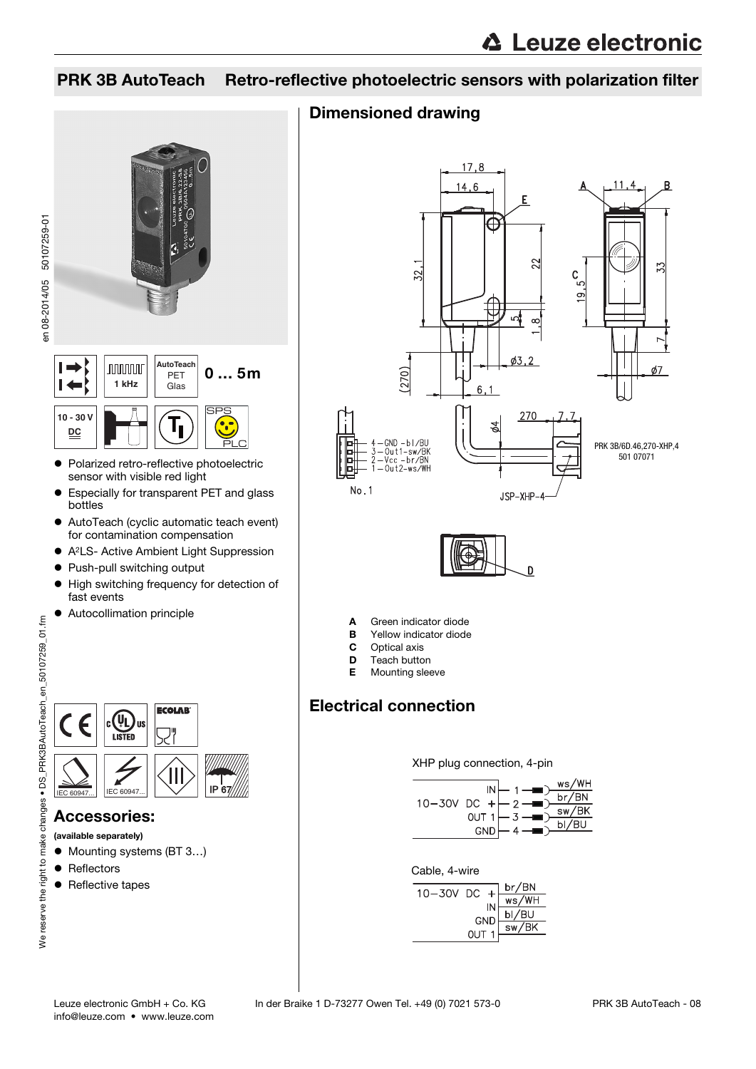### PRK 3B AutoTeach Retro-reflective photoelectric sensors with polarization filter

# en 08-2014/05 50107259-01 en 08-2014/05 50107259-01**AutoTeach**  $\vdash$ **nnnnn** 0 … 5m PET  $\vdash$ **1 kHz** Glas **10 - 30 V DC** ● Polarized retro-reflective photoelectric

- sensor with visible red light Especially for transparent PET and glass bottles
- AutoTeach (cyclic automatic teach event) for contamination compensation
- A<sup>2</sup>LS- Active Ambient Light Suppression
- Push-pull switching output
- $\bullet$  High switching frequency for detection of fast events
- Autocollimation principle



#### Accessories:

(available separately)

- Mounting systems (BT 3...)
- Reflectors
- Reflective tapes

### Dimensioned drawing





- **A** Green indicator diode<br>**B** Yellow indicator diode
- Yellow indicator diode
- **C** Optical axis<br>**D** Teach butto
- $\overline{D}$  Teach button<br>**F** Mounting slee
- Mounting sleeve

## Electrical connection

XHP plug connection, 4-pin





| 10-30V DC                                                                           | br/BN                 |
|-------------------------------------------------------------------------------------|-----------------------|
|                                                                                     | ws/WH                 |
| $\begin{bmatrix} \n\overline{N} \\ \overline{C}ND \\ \overline{C}ND\n\end{bmatrix}$ | $\frac{bI/BU}{sw/BK}$ |
|                                                                                     |                       |
|                                                                                     |                       |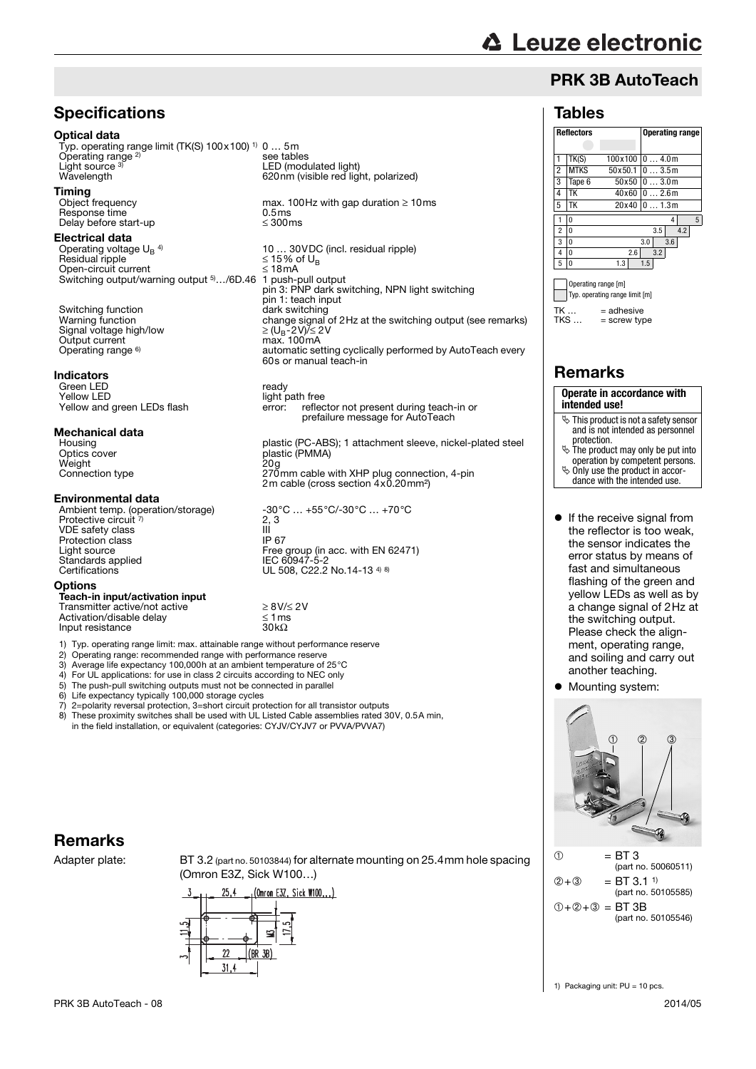# **△ Leuze electronic**

Tables

 $TK \dots = adhesive$ <br> $TKS = scrow tw$ 

Remarks

**intended use!**

protection.

 $=$  screw type

**Operate in accordance with**

 $\ddot{\mathbb{S}}$  This product is not a safety sensor and is not intended as personnel

 $\ddot{\mathbb{S}}$  The product may only be put into operation by competent persons. Only use the product in accordance with the intended use.

**If the receive signal from** the reflector is too weak, the sensor indicates the error status by means of fast and simultaneous flashing of the green and yellow LEDs as well as by a change signal of 2Hz at the switching output. Please check the alignment, operating range,

### PRK 3B AutoTeach

**Reflectors Operating range**

 $TK(S)$  100x100 0 ... 4.0m 2 MTKS 50x50.1 0 … 3.5m 3 Tape 6 50x50 0 … 3.0m 4 TK 40x60 0 2.6m 5 TK 20x40 0 … 1.3m 1 0 4 5 2 0 3.5 4.2 3 0 3.0 3.6 4 0 2.6 3.2 5 0 1.3 1.5 Operating range [m] Typ. operating range limit [m]

### **Specifications**

#### Optical data

Typ. operating range limit (TK(S) 100x100) 1) 0 … 5m Operating range 2) Light source 3)

**Timing**<br>Object frequency  $Response time$ <br>Delay before start-up  $\leq 300 \text{ms}$ Delay before start-up

#### Electrical data

Operating voltage  $U_B$ <sup>4)</sup> Residual ripple ≤ 15% of UBS Served The State of UBS Served The State of UBS Served The State of UBS Served The State of UBS Served The State of UBS Served The State of UBS Served The State of UBS Served The State of UBS Open-circuit current Switching output/warning output 5)…/6D.46

Switching function<br>Warning function Signal voltage high/low<br>Output current Operating range <sup>6)</sup>

#### Indicators

Green LED<br>
Yellow I FD<br>
Yellow I FD Yellow LED<br>
Yellow and green LEDs flash error: reflect

### **Mechanical data**

Weight<br>Connection type

#### Environmental data

Protective circuit <sup>7)</sup> VDE safety class Protection class<br>Light source Light source Free group (in acc. with EN 62471) Standards applied IEC 60947-5-2 Certifications UL 508, C22.2 No.14-13 4) 8)

#### **Options**

Teach-in input/activation input Transmitter active/not active<br>Transmitter active/not active  $\geq 8V/\leq 2V$ <br>Activation/disable delay  $\leq 1$  ms Activation/disable delay  $\leq 1$ ms<br>
Input resistance  $30kQ$ Input resistance

Typ. operating range limit: max. attainable range without performance reserve

- 2) Operating range: recommended range with performance reserve<br>3) Average life expectancy 100,000h at an ambient temperature of
- 3) Average life expectancy 100,000h at an ambient temperature of 25°C
- 4) For UL applications: for use in class 2 circuits according to NEC only
- 5) The push-pull switching outputs must not be connected in parallel

6) Life expectancy typically  $100,000$  storage cycles<br>
7)  $2$ =polarity reversal protection. 3=short circuit pro

7) 2=polarity reversal protection, 3=short circuit protection for all transistor outputs These proximity switches shall be used with UL Listed Cable assemblies rated 30V, 0.5A min,

in the field installation, or equivalent (categories: CYJV/CYJV7 or PVVA/PVVA7)

### Remarks

Adapter plate: BT 3.2 (part no. 50103844) for alternate mounting on 25.4mm hole spacing (Omron E3Z, Sick W100…)



see tables LED (modulated light) 620nm (visible red light, polarized)

max. 100Hz with gap duration  $\geq 10$ ms

10 ... 30 VDC (incl. residual ripple)<br> $\leq$  15% of U<sub>B</sub> 1 push-pull output pin 3: PNP dark switching, NPN light switching pin 1: teach input<br>dark switching change signal of 2Hz at the switching output (see remarks)  $\geq$  (U<sub>B</sub>-2V)/ $\leq$  2V<br>max. 100mA automatic setting cyclically performed by AutoTeach every 60s or manual teach-in

reflector not present during teach-in or prefailure message for AutoTeach

Housing<br>
Detics cover<br>
Detics cover<br>
plastic (PMMA)<br>
plastic (PMMA) plastic (PMMA) Prastic to with y<br>20g<br>270mm cable with XHP plug connection, 4-pin

2m cable (cross section 4x0.20mm²)

Ambient temp. (operation/storage)  $-30^{\circ}\text{C} ... +55^{\circ}\text{C}$ /-30 $^{\circ}\text{C} ... +70^{\circ}\text{C}$  $2, 3$ <br>  $\parallel$ <br>  $\parallel$  P 67

and soiling and carry out another teaching. Mounting system:



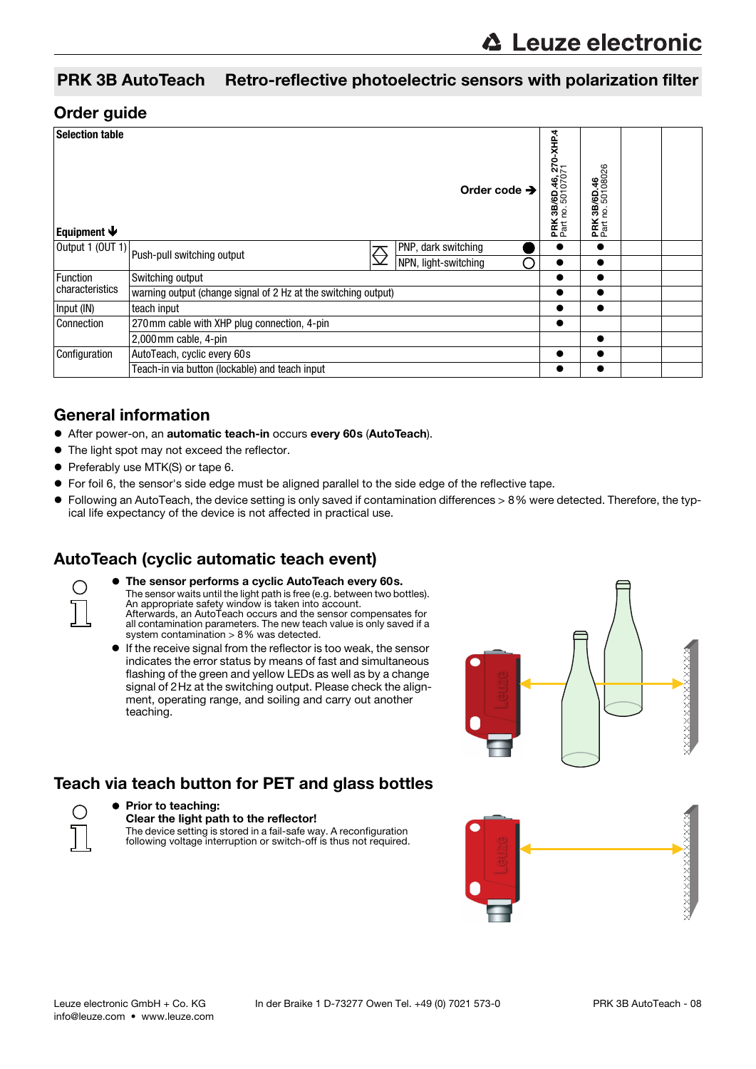#### PRK 3B AutoTeach Retro-reflective photoelectric sensors with polarization filter

#### Order guide

| <b>Selection table</b><br>Equipment $\blacklozenge$       |                                                                 |  | Order code $\rightarrow$ | 3B/6D.46, 270-XHP.4<br>10. 50107071<br>ρġ.<br>PRK<br>Part | 3B/6D.46<br>no.50108026<br>ρó.<br>PRK <sub>I</sub> |  |
|-----------------------------------------------------------|-----------------------------------------------------------------|--|--------------------------|-----------------------------------------------------------|----------------------------------------------------|--|
|                                                           | $\sqrt{\frac{1}{2}$ Output 1 (OUT 1) Push-pull switching output |  | PNP, dark switching      |                                                           |                                                    |  |
|                                                           |                                                                 |  | NPN, light-switching     |                                                           |                                                    |  |
| Function<br>characteristics                               | Switching output                                                |  |                          | ●                                                         |                                                    |  |
|                                                           | warning output (change signal of 2 Hz at the switching output)  |  |                          |                                                           |                                                    |  |
| Input (IN)                                                | teach input                                                     |  |                          |                                                           |                                                    |  |
| 270mm cable with XHP plug connection, 4-pin<br>Connection |                                                                 |  |                          |                                                           |                                                    |  |
|                                                           | 2,000 mm cable, 4-pin                                           |  |                          |                                                           |                                                    |  |
| Configuration                                             | AutoTeach, cyclic every 60s                                     |  |                          |                                                           |                                                    |  |
| Teach-in via button (lockable) and teach input            |                                                                 |  |                          |                                                           |                                                    |  |

#### General information

- After power-on, an automatic teach-in occurs every 60s (AutoTeach).
- $\bullet$  The light spot may not exceed the reflector.
- **•** Preferably use MTK(S) or tape 6.
- For foil 6, the sensor's side edge must be aligned parallel to the side edge of the reflective tape.
- Following an AutoTeach, the device setting is only saved if contamination differences > 8% were detected. Therefore, the typical life expectancy of the device is not affected in practical use.

### AutoTeach (cyclic automatic teach event)



- The sensor performs a cyclic AutoTeach every 60s. The sensor waits until the light path is free (e.g. between two bottles). An appropriate safety window is taken into account. Afterwards, an AutoTeach occurs and the sensor compensates for all contamination parameters. The new teach value is only saved if a system contamination > 8% was detected.
- If the receive signal from the reflector is too weak, the sensor indicates the error status by means of fast and simultaneous flashing of the green and yellow LEDs as well as by a change signal of 2Hz at the switching output. Please check the alignment, operating range, and soiling and carry out another teaching.



### Teach via teach button for PET and glass bottles



#### • Prior to teaching: Clear the light path to the reflector! The device setting is stored in a fail-safe way. A reconfiguration following voltage interruption or switch-off is thus not required.